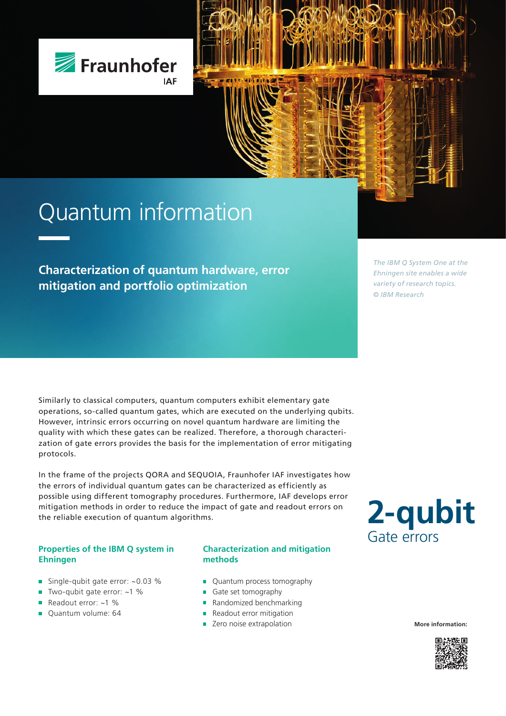

# Quantum information

**Characterization of quantum hardware, error mitigation and portfolio optimization**

*The IBM Q System One at the Ehningen site enables a wide variety of research topics. © IBM Research*

Similarly to classical computers, quantum computers exhibit elementary gate operations, so-called quantum gates, which are executed on the underlying qubits. However, intrinsic errors occurring on novel quantum hardware are limiting the quality with which these gates can be realized. Therefore, a thorough characterization of gate errors provides the basis for the implementation of error mitigating protocols.

In the frame of the projects QORA and SEQUOIA, Fraunhofer IAF investigates how the errors of individual quantum gates can be characterized as efficiently as possible using different tomography procedures. Furthermore, IAF develops error mitigation methods in order to reduce the impact of gate and readout errors on the reliable execution of quantum algorithms.

### **Properties of the IBM Q system in Ehningen**

- Single-qubit gate error: ~0.03 %  $\blacksquare$
- Two-qubit gate error: ~1 %  $\blacksquare$
- Readout error: ~1 %
- Quantum volume: 64

#### **Characterization and mitigation methods**

- **Quantum process tomography**
- Gate set tomography
- Randomized benchmarking
- **Readout error mitigation**
- **EXEC** Zero noise extrapolation **More information:**